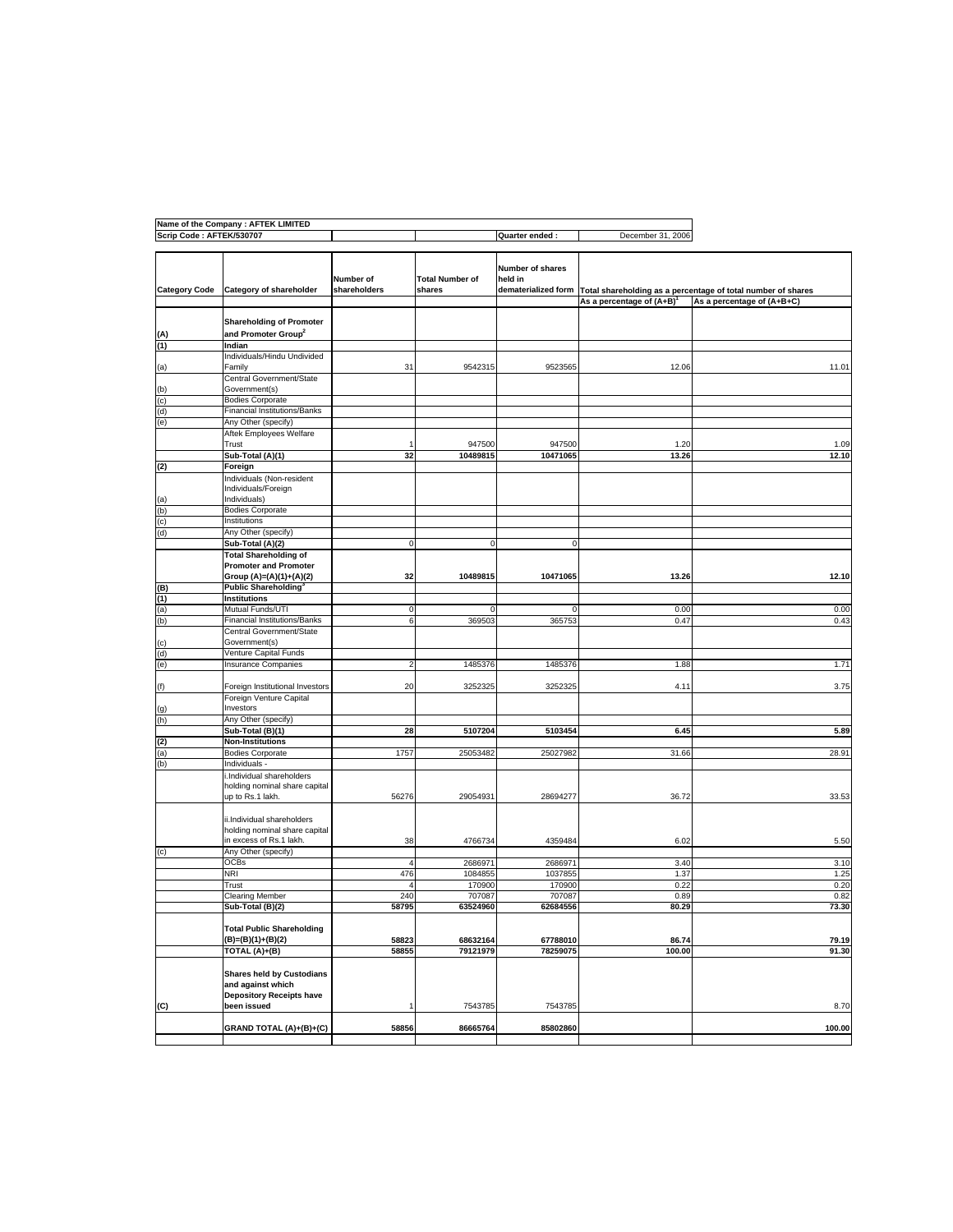|                          | Name of the Company : AFTEK LIMITED                                                      |                           |                                  |                                                    |                              |                                                              |
|--------------------------|------------------------------------------------------------------------------------------|---------------------------|----------------------------------|----------------------------------------------------|------------------------------|--------------------------------------------------------------|
| Scrip Code: AFTEK/530707 |                                                                                          |                           |                                  | Quarter ended:                                     | December 31, 2006            |                                                              |
| <b>Category Code</b>     | Category of shareholder                                                                  | Number of<br>shareholders | <b>Total Number of</b><br>shares | Number of shares<br>held in<br>dematerialized form |                              | Total shareholding as a percentage of total number of shares |
|                          |                                                                                          |                           |                                  |                                                    | As a percentage of $(A+B)^T$ | As a percentage of (A+B+C)                                   |
|                          |                                                                                          |                           |                                  |                                                    |                              |                                                              |
| (A)                      | <b>Shareholding of Promoter</b><br>and Promoter Group <sup>2</sup>                       |                           |                                  |                                                    |                              |                                                              |
| (1)                      | Indian                                                                                   |                           |                                  |                                                    |                              |                                                              |
| (a)                      | Individuals/Hindu Undivided<br>Family                                                    | 31                        | 9542315                          | 9523565                                            | 12.06                        | 11.01                                                        |
| (b)                      | Central Government/State<br>Government(s)                                                |                           |                                  |                                                    |                              |                                                              |
| (c)                      | <b>Bodies Corporate</b>                                                                  |                           |                                  |                                                    |                              |                                                              |
| (d)                      | <b>Financial Institutions/Banks</b>                                                      |                           |                                  |                                                    |                              |                                                              |
| (e)                      | Any Other (specify)                                                                      |                           |                                  |                                                    |                              |                                                              |
|                          | Aftek Employees Welfare<br>Trust                                                         |                           | 947500                           | 947500                                             | 1.20                         | 1.09                                                         |
|                          | Sub-Total (A)(1)                                                                         | 32                        | 10489815                         | 10471065                                           | 13.26                        | 12.10                                                        |
| (2)                      | Foreign                                                                                  |                           |                                  |                                                    |                              |                                                              |
|                          | Individuals (Non-resident<br>Individuals/Foreign                                         |                           |                                  |                                                    |                              |                                                              |
| (a)                      | Individuals)                                                                             |                           |                                  |                                                    |                              |                                                              |
| (b)                      | <b>Bodies Corporate</b>                                                                  |                           |                                  |                                                    |                              |                                                              |
| (c)                      | Institutions                                                                             |                           |                                  |                                                    |                              |                                                              |
| (d)                      | Any Other (specify)                                                                      |                           |                                  |                                                    |                              |                                                              |
|                          | Sub-Total (A)(2)                                                                         | C                         | $\mathbf 0$                      | $\mathbf 0$                                        |                              |                                                              |
|                          | <b>Total Shareholding of</b><br><b>Promoter and Promoter</b>                             |                           |                                  |                                                    |                              |                                                              |
| (B)                      | Group (A)=(A)(1)+(A)(2)<br>Public Shareholding <sup>3</sup>                              | 32                        | 10489815                         | 10471065                                           | 13.26                        | 12.10                                                        |
| (1)                      | Institutions                                                                             |                           |                                  |                                                    |                              |                                                              |
| (a)                      | Mutual Funds/UTI                                                                         | 0                         | 0                                | 0                                                  | 0.00                         | 0.00                                                         |
| (b)                      | <b>Financial Institutions/Banks</b>                                                      | 6                         | 369503                           | 365753                                             | 0.47                         | 0.43                                                         |
| (c)                      | Central Government/State<br>Government(s)                                                |                           |                                  |                                                    |                              |                                                              |
| (d)                      | Venture Capital Funds                                                                    |                           |                                  |                                                    |                              |                                                              |
| (e)                      | <b>Insurance Companies</b>                                                               | 2                         | 1485376                          | 1485376                                            | 1.88                         | 1.71                                                         |
| (f)                      | Foreign Institutional Investors                                                          | 20                        | 3252325                          | 3252325                                            | 4.11                         | 3.75                                                         |
|                          | Foreign Venture Capital<br>Investors                                                     |                           |                                  |                                                    |                              |                                                              |
| (g)<br>(h)               | Any Other (specify)                                                                      |                           |                                  |                                                    |                              |                                                              |
|                          | Sub-Total (B)(1)                                                                         | 28                        | 5107204                          | 5103454                                            | 6.45                         | 5.89                                                         |
| (2)                      | <b>Non-Institutions</b>                                                                  |                           |                                  |                                                    |                              |                                                              |
| (a)                      | <b>Bodies Corporate</b>                                                                  | 1757                      | 25053482                         | 25027982                                           | 31.66                        | 28.91                                                        |
| (b)                      | Individuals -                                                                            |                           |                                  |                                                    |                              |                                                              |
|                          | i.Individual shareholders<br>holding nominal share capital                               |                           |                                  |                                                    |                              |                                                              |
|                          | up to Rs.1 lakh.                                                                         | 56276                     | 29054931                         | 28694277                                           | 36.72                        | 33.53                                                        |
|                          | ii.Individual shareholders<br>holding nominal share capital                              |                           |                                  |                                                    |                              |                                                              |
|                          | in excess of Rs.1 lakh.                                                                  | 38                        | 4766734                          | 4359484                                            | 6.02                         | 5.50                                                         |
| (c)                      | Any Other (specify)                                                                      |                           |                                  |                                                    |                              |                                                              |
|                          | <b>OCBs</b>                                                                              | $\overline{4}$            | 2686971                          | 2686971                                            | 3.40                         | 3.10                                                         |
|                          | NRI<br>Trust                                                                             | 476<br>4                  | 1084855<br>170900                | 1037855<br>170900                                  | 1.37<br>0.22                 | 1.25<br>0.20                                                 |
|                          | Clearing Member                                                                          | 240                       | 707087                           | 707087                                             | 0.89                         | 0.82                                                         |
|                          | Sub-Total (B)(2)                                                                         | 58795                     | 63524960                         | 62684556                                           | 80.29                        | 73.30                                                        |
|                          | <b>Total Public Shareholding</b>                                                         |                           |                                  |                                                    |                              |                                                              |
|                          | (B)=(B)(1)+(B)(2)                                                                        | 58823                     | 68632164                         | 67788010                                           | 86.74                        | 79.19                                                        |
|                          | TOTAL (A)+(B)                                                                            | 58855                     | 79121979                         | 78259075                                           | 100.00                       | 91.30                                                        |
|                          | <b>Shares held by Custodians</b><br>and against which<br><b>Depository Receipts have</b> |                           |                                  |                                                    |                              |                                                              |
| (C)                      | been issued                                                                              |                           | 7543785                          | 7543785                                            |                              | 8.70                                                         |
|                          | <b>GRAND TOTAL (A)+(B)+(C)</b>                                                           | 58856                     | 86665764                         | 85802860                                           |                              | 100.00                                                       |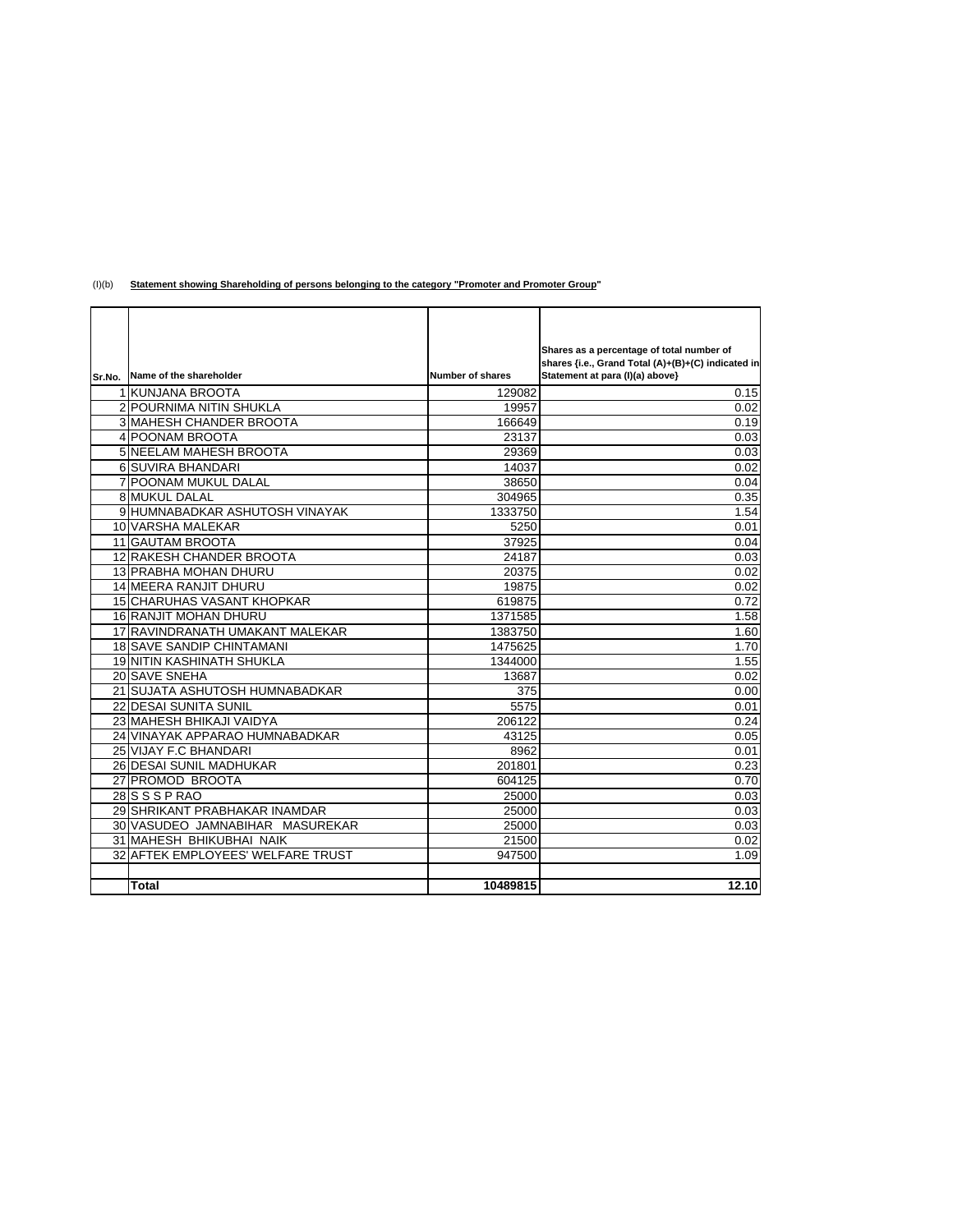| Sr.No. Name of the shareholder    | <b>Number of shares</b> | Shares as a percentage of total number of<br>shares {i.e., Grand Total (A)+(B)+(C) indicated in<br>Statement at para (I)(a) above} |
|-----------------------------------|-------------------------|------------------------------------------------------------------------------------------------------------------------------------|
| 1 KUNJANA BROOTA                  | 129082                  | 0.15                                                                                                                               |
| 2 POURNIMA NITIN SHUKLA           | 19957                   | 0.02                                                                                                                               |
| 3 MAHESH CHANDER BROOTA           | 166649                  | 0.19                                                                                                                               |
| 4 POONAM BROOTA                   | 23137                   | 0.03                                                                                                                               |
| 5 NEELAM MAHESH BROOTA            | 29369                   | 0.03                                                                                                                               |
| 6 SUVIRA BHANDARI                 | 14037                   | 0.02                                                                                                                               |
| 7 POONAM MUKUL DALAL              | 38650                   | 0.04                                                                                                                               |
| 8 MUKUL DALAL                     | 304965                  | 0.35                                                                                                                               |
| 9 HUMNABADKAR ASHUTOSH VINAYAK    | 1333750                 | 1.54                                                                                                                               |
| 10 VARSHA MALEKAR                 | 5250                    | 0.01                                                                                                                               |
| <b>11 GAUTAM BROOTA</b>           | 37925                   | 0.04                                                                                                                               |
| 12 RAKESH CHANDER BROOTA          | 24187                   | 0.03                                                                                                                               |
| 13 PRABHA MOHAN DHURU             | 20375                   | 0.02                                                                                                                               |
| <b>14 MEERA RANJIT DHURU</b>      | 19875                   | 0.02                                                                                                                               |
| 15 CHARUHAS VASANT KHOPKAR        | 619875                  | 0.72                                                                                                                               |
| 16 RANJIT MOHAN DHURU             | 1371585                 | 1.58                                                                                                                               |
| 17 RAVINDRANATH UMAKANT MALEKAR   | 1383750                 | 1.60                                                                                                                               |
| <b>18 SAVE SANDIP CHINTAMANI</b>  | 1475625                 | 1.70                                                                                                                               |
| 19 NITIN KASHINATH SHUKLA         | 1344000                 | 1.55                                                                                                                               |
| 20 SAVE SNEHA                     | 13687                   | 0.02                                                                                                                               |
| 21 SUJATA ASHUTOSH HUMNABADKAR    | 375                     | 0.00                                                                                                                               |
| <b>22 DESAI SUNITA SUNIL</b>      | 5575                    | 0.01                                                                                                                               |
| 23 MAHESH BHIKAJI VAIDYA          | 206122                  | 0.24                                                                                                                               |
| 24 VINAYAK APPARAO HUMNABADKAR    | 43125                   | 0.05                                                                                                                               |
| 25 VIJAY F.C BHANDARI             | 8962                    | 0.01                                                                                                                               |
| 26 DESAI SUNIL MADHUKAR           | 201801                  | 0.23                                                                                                                               |
| 27 PROMOD BROOTA                  | 604125                  | 0.70                                                                                                                               |
| $28$ SSPRAO                       | 25000                   | 0.03                                                                                                                               |
| 29 SHRIKANT PRABHAKAR INAMDAR     | 25000                   | 0.03                                                                                                                               |
| 30 VASUDEO JAMNABIHAR MASUREKAR   | 25000                   | 0.03                                                                                                                               |
| 31 MAHESH BHIKUBHAI NAIK          | 21500                   | 0.02                                                                                                                               |
| 32 AFTEK EMPLOYEES' WELFARE TRUST | 947500                  | 1.09                                                                                                                               |
|                                   |                         |                                                                                                                                    |
| <b>Total</b>                      | 10489815                | 12.10                                                                                                                              |

## (I)(b) **Statement showing Shareholding of persons belonging to the category "Promoter and Promoter Group"**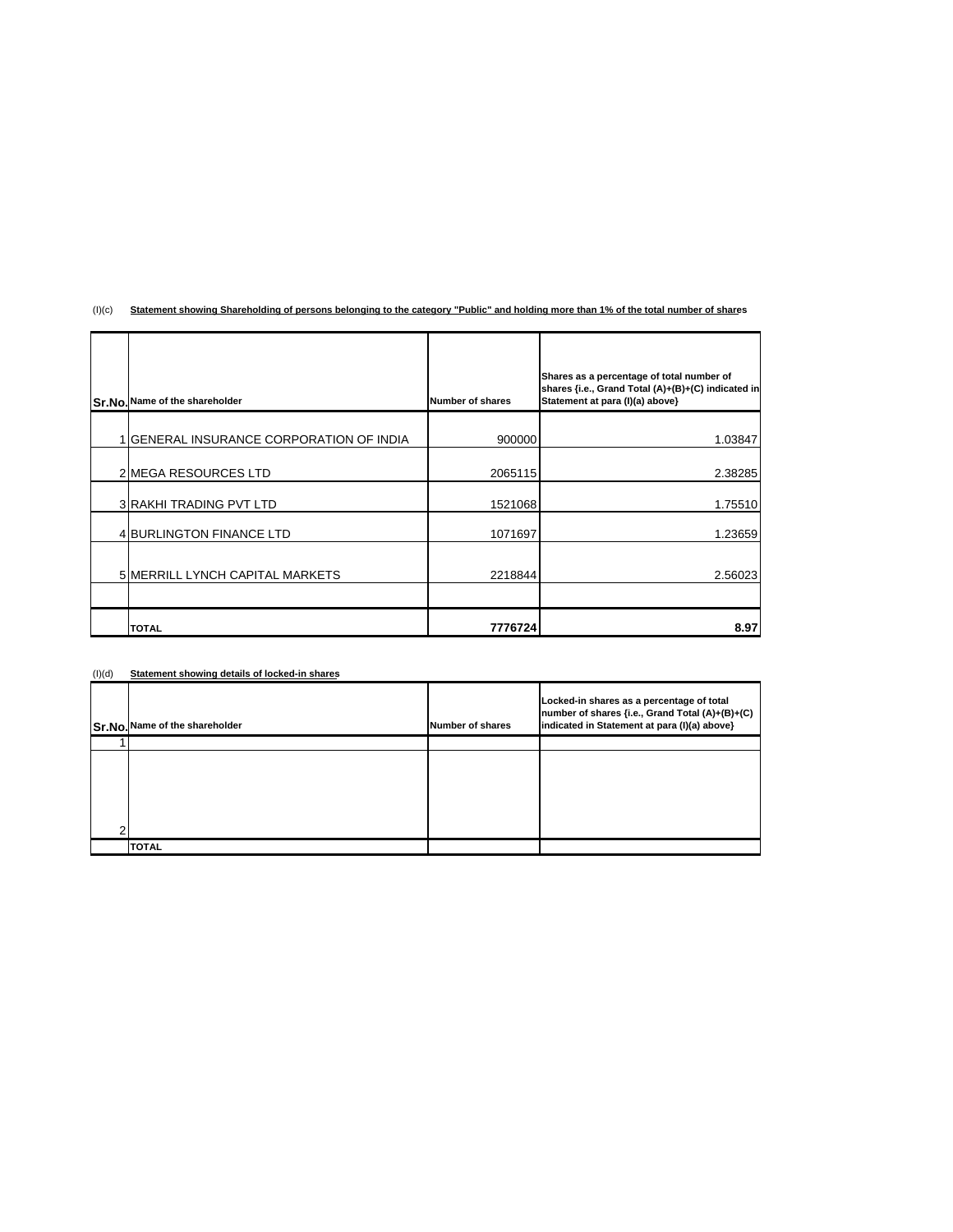## (I)(c) **Statement showing Shareholding of persons belonging to the category "Public" and holding more than 1% of the total number of shares**

|  | Sr.No. Name of the shareholder                 | <b>Number of shares</b> | Shares as a percentage of total number of<br>shares {i.e., Grand Total (A)+(B)+(C) indicated in<br>Statement at para (I)(a) above} |
|--|------------------------------------------------|-------------------------|------------------------------------------------------------------------------------------------------------------------------------|
|  | <b>IGENERAL INSURANCE CORPORATION OF INDIA</b> | 900000                  | 1.03847                                                                                                                            |
|  | 2 MEGA RESOURCES LTD                           | 2065115                 | 2.38285                                                                                                                            |
|  | <b>3 RAKHI TRADING PVT LTD</b>                 | 1521068                 | 1.75510                                                                                                                            |
|  | <b>4 BURLINGTON FINANCE LTD</b>                | 1071697                 | 1.23659                                                                                                                            |
|  | 5 MERRILL LYNCH CAPITAL MARKETS                | 2218844                 | 2.56023                                                                                                                            |
|  |                                                |                         |                                                                                                                                    |
|  | <b>TOTAL</b>                                   | 7776724                 | 8.97                                                                                                                               |

| (I)(d) | Statement showing details of locked-in shares |
|--------|-----------------------------------------------|
|        |                                               |

| (1)(q) | Statement showing details or locked-in shares |                  |                                                                                                                                              |  |  |
|--------|-----------------------------------------------|------------------|----------------------------------------------------------------------------------------------------------------------------------------------|--|--|
|        | Sr.No. Name of the shareholder                | Number of shares | Locked-in shares as a percentage of total<br>number of shares {i.e., Grand Total (A)+(B)+(C)<br>indicated in Statement at para (I)(a) above} |  |  |
|        |                                               |                  |                                                                                                                                              |  |  |
| ົ      |                                               |                  |                                                                                                                                              |  |  |
|        | <b>TOTAL</b>                                  |                  |                                                                                                                                              |  |  |

 $\overline{\phantom{a}}$